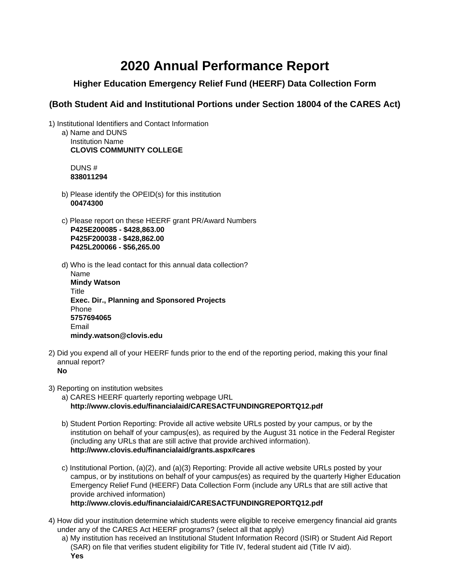## **2020 Annual Performance Report**

## **Higher Education Emergency Relief Fund (HEERF) Data Collection Form**

## **(Both Student Aid and Institutional Portions under Section 18004 of the CARES Act)**

1) Institutional Identifiers and Contact Information

a) Name and DUNS Institution Name **CLOVIS COMMUNITY COLLEGE**

DUNS # **838011294**

- b) Please identify the OPEID(s) for this institution **00474300**
- c) Please report on these HEERF grant PR/Award Numbers **P425E200085 - \$428,863.00 P425F200038 - \$428,862.00 P425L200066 - \$56,265.00**
- d) Who is the lead contact for this annual data collection?

Name **Mindy Watson Title Exec. Dir., Planning and Sponsored Projects** Phone **5757694065** Email **mindy.watson@clovis.edu**

2) Did you expend all of your HEERF funds prior to the end of the reporting period, making this your final annual report?

**No**

3) Reporting on institution websites

a) CARES HEERF quarterly reporting webpage URL **http://www.clovis.edu/financialaid/CARESACTFUNDINGREPORTQ12.pdf**

- b) Student Portion Reporting: Provide all active website URLs posted by your campus, or by the institution on behalf of your campus(es), as required by the August 31 notice in the Federal Register (including any URLs that are still active that provide archived information). **http://www.clovis.edu/financialaid/grants.aspx#cares**
- c) Institutional Portion, (a)(2), and (a)(3) Reporting: Provide all active website URLs posted by your campus, or by institutions on behalf of your campus(es) as required by the quarterly Higher Education Emergency Relief Fund (HEERF) Data Collection Form (include any URLs that are still active that provide archived information)

**http://www.clovis.edu/financialaid/CARESACTFUNDINGREPORTQ12.pdf**

- 4) How did your institution determine which students were eligible to receive emergency financial aid grants under any of the CARES Act HEERF programs? (select all that apply)
	- a) My institution has received an Institutional Student Information Record (ISIR) or Student Aid Report (SAR) on file that verifies student eligibility for Title IV, federal student aid (Title IV aid). **Yes**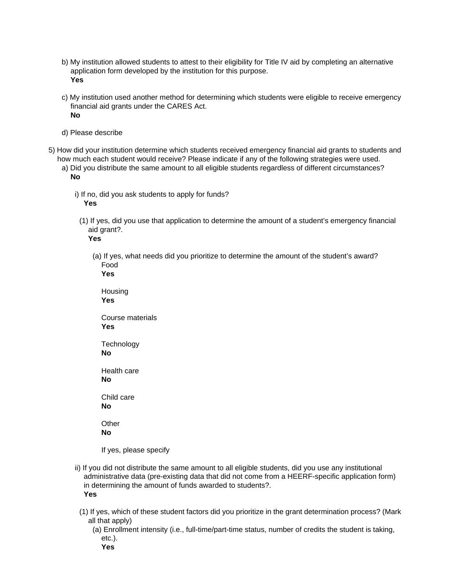- b) My institution allowed students to attest to their eligibility for Title IV aid by completing an alternative application form developed by the institution for this purpose. **Yes**
- c) My institution used another method for determining which students were eligible to receive emergency financial aid grants under the CARES Act. **No**
- d) Please describe
- 5) How did your institution determine which students received emergency financial aid grants to students and how much each student would receive? Please indicate if any of the following strategies were used.
	- a) Did you distribute the same amount to all eligible students regardless of different circumstances? **No**
		- i) If no, did you ask students to apply for funds? **Yes**
		- (1) If yes, did you use that application to determine the amount of a student's emergency financial aid grant?.

**Yes**

- (a) If yes, what needs did you prioritize to determine the amount of the student's award? Food
	- **Yes** Housing **Yes** Course materials **Yes Technology No** Health care **No** Child care **No Other No**

If yes, please specify

- ii) If you did not distribute the same amount to all eligible students, did you use any institutional administrative data (pre-existing data that did not come from a HEERF-specific application form) in determining the amount of funds awarded to students?. **Yes**
- (1) If yes, which of these student factors did you prioritize in the grant determination process? (Mark all that apply)
	- (a) Enrollment intensity (i.e., full-time/part-time status, number of credits the student is taking, etc.).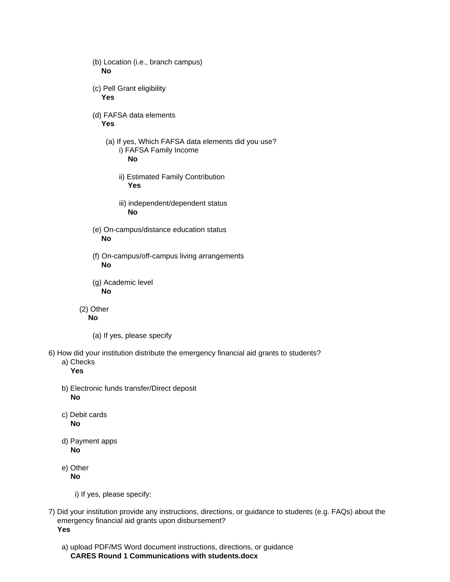- (b) Location (i.e., branch campus) **No** (c) Pell Grant eligibility **Yes** (d) FAFSA data elements **Yes** (a) If yes, Which FAFSA data elements did you use? i) FAFSA Family Income **No** ii) Estimated Family Contribution **Yes** iii) independent/dependent status **No** (e) On-campus/distance education status **No** (f) On-campus/off-campus living arrangements **No** (g) Academic level **No** (2) Other **No** (a) If yes, please specify 6) How did your institution distribute the emergency financial aid grants to students? a) Checks **Yes**
	- b) Electronic funds transfer/Direct deposit **No**
	- c) Debit cards **No**
	- d) Payment apps **No**
	- e) Other **No**
		- i) If yes, please specify:
- 7) Did your institution provide any instructions, directions, or guidance to students (e.g. FAQs) about the emergency financial aid grants upon disbursement? **Yes**
	- a) upload PDF/MS Word document instructions, directions, or guidance **CARES Round 1 Communications with students.docx**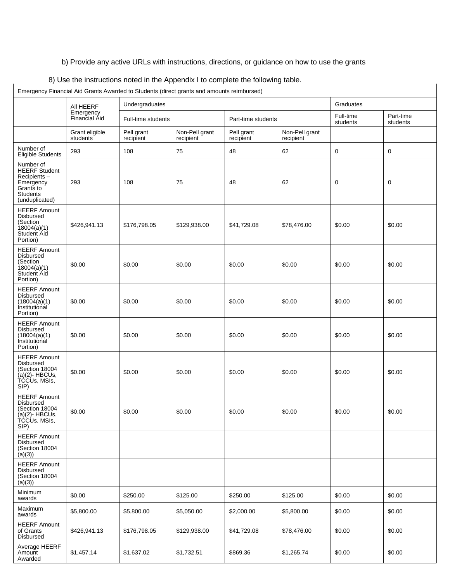b) Provide any active URLs with instructions, directions, or guidance on how to use the grants

| Emergency Financial Aid Grants Awarded to Students (direct grants and amounts reimbursed)                       |                            |                         |                             |                         |                             |                       |                       |
|-----------------------------------------------------------------------------------------------------------------|----------------------------|-------------------------|-----------------------------|-------------------------|-----------------------------|-----------------------|-----------------------|
|                                                                                                                 | All HEERF                  | Undergraduates          |                             |                         |                             | Graduates             |                       |
|                                                                                                                 | Emergency<br>Financial Aid | Full-time students      |                             | Part-time students      |                             | Full-time<br>students | Part-time<br>students |
|                                                                                                                 | Grant eligible<br>students | Pell grant<br>recipient | Non-Pell grant<br>recipient | Pell grant<br>recipient | Non-Pell grant<br>recipient |                       |                       |
| Number of<br>Eligible Students                                                                                  | 293                        | 108                     | 75                          | 48                      | 62                          | 0                     | 0                     |
| Number of<br><b>HEERF Student</b><br>Recipients-<br>Emergency<br>Grants to<br><b>Students</b><br>(unduplicated) | 293                        | 108                     | 75                          | 48                      | 62                          | 0                     | 0                     |
| <b>HEERF Amount</b><br>Disbursed<br>(Section<br>18004(a)(1)<br>Student Aid<br>Portion)                          | \$426,941.13               | \$176,798.05            | \$129,938.00                | \$41,729.08             | \$78,476.00                 | \$0.00                | \$0.00                |
| <b>HEERF Amount</b><br>Disbursed<br>(Section<br>18004(a)(1)<br><b>Student Aid</b><br>Portion)                   | \$0.00                     | \$0.00                  | \$0.00                      | \$0.00                  | \$0.00                      | \$0.00                | \$0.00                |
| <b>HEERF Amount</b><br>Disbursed<br>(18004(a)(1)<br>Institutional<br>Portion)                                   | \$0.00                     | \$0.00                  | \$0.00                      | \$0.00                  | \$0.00                      | \$0.00                | \$0.00                |
| <b>HEERF Amount</b><br><b>Disbursed</b><br>(18004(a)(1)<br>Institutional<br>Portion)                            | \$0.00                     | \$0.00                  | \$0.00                      | \$0.00                  | \$0.00                      | \$0.00                | \$0.00                |
| <b>HEERF Amount</b><br>Disbursed<br>Section 18004<br>$(a)(2)$ - HBCUs,<br>TCCUs, MSIs,<br>SIP)                  | \$0.00                     | \$0.00                  | \$0.00                      | \$0.00                  | \$0.00                      | \$0.00                | \$0.00                |
| <b>HEERF Amount</b><br>Disbursed<br>(Section 18004<br>(a)(2)- HBCUs,<br>TCCUs, MSIs,<br>SIP)                    | \$0.00                     | \$0.00                  | \$0.00                      | \$0.00                  | \$0.00                      | \$0.00                | \$0.00                |
| <b>HEERF Amount</b><br>Disbursed<br>(Section 18004<br>(a)(3)                                                    |                            |                         |                             |                         |                             |                       |                       |
| <b>HEERF Amount</b><br><b>Disbursed</b><br>(Section 18004<br>(a)(3)                                             |                            |                         |                             |                         |                             |                       |                       |
| Minimum<br>awards                                                                                               | \$0.00                     | \$250.00                | \$125.00                    | \$250.00                | \$125.00                    | \$0.00                | \$0.00                |
| Maximum<br>awards                                                                                               | \$5,800.00                 | \$5,800.00              | \$5,050.00                  | \$2,000.00              | \$5,800.00                  | \$0.00                | \$0.00                |
| <b>HEERF Amount</b><br>of Grants<br>Disbursed                                                                   | \$426,941.13               | \$176,798.05            | \$129,938.00                | \$41,729.08             | \$78,476.00                 | \$0.00                | \$0.00                |
| Average HEERF<br>Amount<br>Awarded                                                                              | \$1,457.14                 | \$1,637.02              | \$1,732.51                  | \$869.36                | \$1,265.74                  | \$0.00                | \$0.00                |

8) Use the instructions noted in the Appendix I to complete the following table.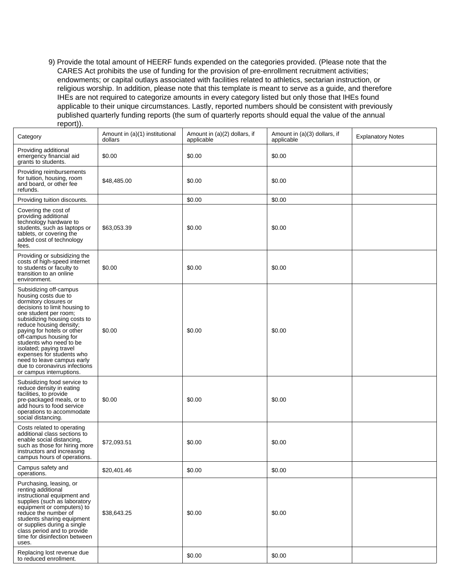9) Provide the total amount of HEERF funds expended on the categories provided. (Please note that the CARES Act prohibits the use of funding for the provision of pre-enrollment recruitment activities; endowments; or capital outlays associated with facilities related to athletics, sectarian instruction, or religious worship. In addition, please note that this template is meant to serve as a guide, and therefore IHEs are not required to categorize amounts in every category listed but only those that IHEs found applicable to their unique circumstances. Lastly, reported numbers should be consistent with previously published quarterly funding reports (the sum of quarterly reports should equal the value of the annual report)).

| Category                                                                                                                                                                                                                                                                                                                                                                                                                           | Amount in (a)(1) institutional<br>dollars | Amount in (a)(2) dollars, if<br>applicable | Amount in (a)(3) dollars, if<br>applicable | <b>Explanatory Notes</b> |
|------------------------------------------------------------------------------------------------------------------------------------------------------------------------------------------------------------------------------------------------------------------------------------------------------------------------------------------------------------------------------------------------------------------------------------|-------------------------------------------|--------------------------------------------|--------------------------------------------|--------------------------|
| Providing additional<br>emergency financial aid<br>grants to students.                                                                                                                                                                                                                                                                                                                                                             | \$0.00                                    | \$0.00                                     | \$0.00                                     |                          |
| Providing reimbursements<br>for tuition, housing, room<br>and board, or other fee<br>refunds.                                                                                                                                                                                                                                                                                                                                      | \$48,485.00                               | \$0.00                                     | \$0.00                                     |                          |
| Providing tuition discounts.                                                                                                                                                                                                                                                                                                                                                                                                       |                                           | \$0.00                                     | \$0.00                                     |                          |
| Covering the cost of<br>providing additional<br>technology hardware to<br>students, such as laptops or<br>tablets, or covering the<br>added cost of technology<br>fees.                                                                                                                                                                                                                                                            | \$63,053.39                               | \$0.00                                     | \$0.00                                     |                          |
| Providing or subsidizing the<br>costs of high-speed internet<br>to students or faculty to<br>transition to an online<br>environment.                                                                                                                                                                                                                                                                                               | \$0.00                                    | \$0.00                                     | \$0.00                                     |                          |
| Subsidizing off-campus<br>housing costs due to<br>dormitory closures or<br>decisions to limit housing to<br>one student per room;<br>subsidizing housing costs to<br>reduce housing density;<br>paying for hotels or other<br>off-campus housing for<br>students who need to be<br>isolated; paying travel<br>expenses for students who<br>need to leave campus early<br>due to coronavirus infections<br>or campus interruptions. | \$0.00                                    | \$0.00                                     | \$0.00                                     |                          |
| Subsidizing food service to<br>reduce density in eating<br>facilities, to provide<br>pre-packaged meals, or to<br>add hours to food service<br>operations to accommodate<br>social distancing.                                                                                                                                                                                                                                     | \$0.00                                    | \$0.00                                     | \$0.00                                     |                          |
| Costs related to operating<br>additional class sections to<br>enable social distancing,<br>such as those for hiring more<br>instructors and increasing<br>campus hours of operations.                                                                                                                                                                                                                                              | \$72,093.51                               | \$0.00                                     | \$0.00                                     |                          |
| Campus safety and<br>operations.                                                                                                                                                                                                                                                                                                                                                                                                   | \$20,401.46                               | \$0.00                                     | \$0.00                                     |                          |
| Purchasing, leasing, or<br>renting additional<br>instructional equipment and<br>supplies (such as laboratory<br>equipment or computers) to<br>reduce the number of<br>students sharing equipment<br>or supplies during a single<br>class period and to provide<br>time for disinfection between<br>uses.                                                                                                                           | \$38,643.25                               | \$0.00                                     | \$0.00                                     |                          |
| Replacing lost revenue due<br>to reduced enrollment.                                                                                                                                                                                                                                                                                                                                                                               |                                           | \$0.00                                     | \$0.00                                     |                          |